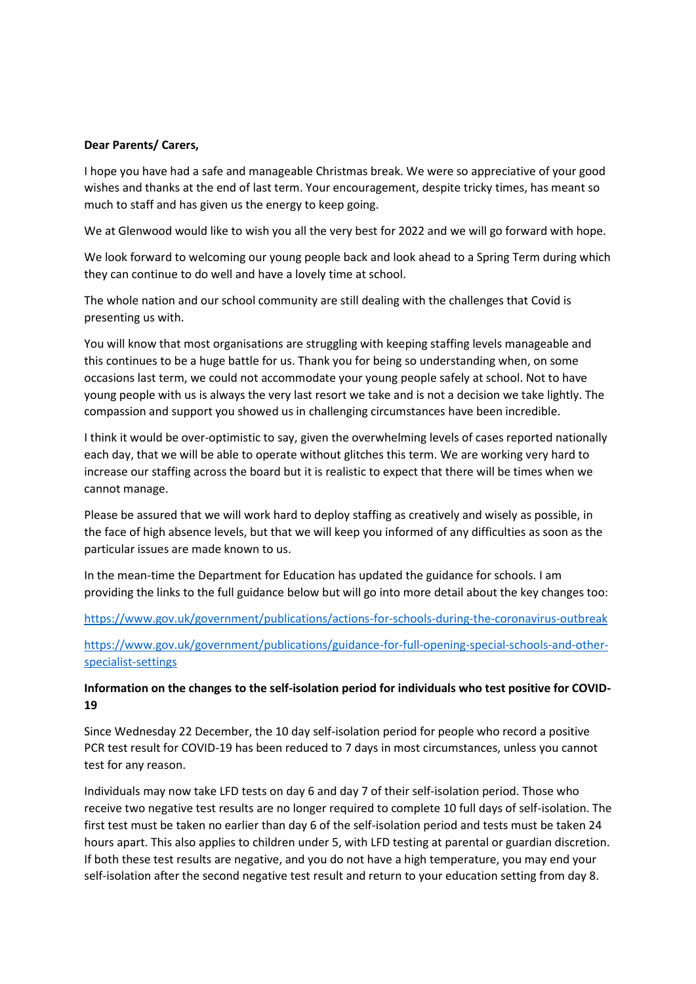#### **Dear Parents/ Carers,**

I hope you have had a safe and manageable Christmas break. We were so appreciative of your good wishes and thanks at the end of last term. Your encouragement, despite tricky times, has meant so much to staff and has given us the energy to keep going.

We at Glenwood would like to wish you all the very best for 2022 and we will go forward with hope.

We look forward to welcoming our young people back and look ahead to a Spring Term during which they can continue to do well and have a lovely time at school.

The whole nation and our school community are still dealing with the challenges that Covid is presenting us with.

You will know that most organisations are struggling with keeping staffing levels manageable and this continues to be a huge battle for us. Thank you for being so understanding when, on some occasions last term, we could not accommodate your young people safely at school. Not to have young people with us is always the very last resort we take and is not a decision we take lightly. The compassion and support you showed us in challenging circumstances have been incredible.

I think it would be over-optimistic to say, given the overwhelming levels of cases reported nationally each day, that we will be able to operate without glitches this term. We are working very hard to increase our staffing across the board but it is realistic to expect that there will be times when we cannot manage.

Please be assured that we will work hard to deploy staffing as creatively and wisely as possible, in the face of high absence levels, but that we will keep you informed of any difficulties as soon as the particular issues are made known to us.

In the mean-time the Department for Education has updated the guidance for schools. I am providing the links to the full guidance below but will go into more detail about the key changes too:

<https://www.gov.uk/government/publications/actions-for-schools-during-the-coronavirus-outbreak>

[https://www.gov.uk/government/publications/guidance-for-full-opening-special-schools-and-other](https://www.gov.uk/government/publications/guidance-for-full-opening-special-schools-and-other-specialist-settings)[specialist-settings](https://www.gov.uk/government/publications/guidance-for-full-opening-special-schools-and-other-specialist-settings)

## **Information on the changes to the self-isolation period for individuals who test positive for COVID-19**

Since Wednesday 22 December, the 10 day self-isolation period for people who record a positive PCR test result for COVID-19 has been reduced to 7 days in most circumstances, unless you cannot test for any reason.

Individuals may now take LFD tests on day 6 and day 7 of their self-isolation period. Those who receive two negative test results are no longer required to complete 10 full days of self-isolation. The first test must be taken no earlier than day 6 of the self-isolation period and tests must be taken 24 hours apart. This also applies to children under 5, with LFD testing at parental or guardian discretion. If both these test results are negative, and you do not have a high temperature, you may end your self-isolation after the second negative test result and return to your education setting from day 8.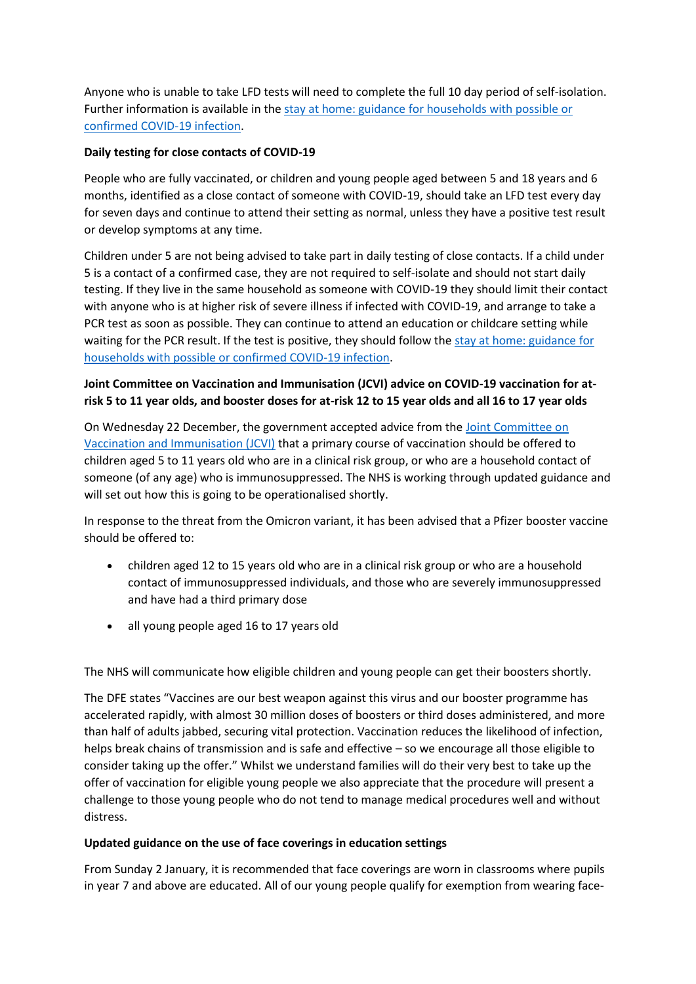Anyone who is unable to take LFD tests will need to complete the full 10 day period of self-isolation. Further information is available in the [stay at home: guidance for households with possible or](https://www.gov.uk/government/publications/covid-19-stay-at-home-guidance/stay-at-home-guidance-for-households-with-possible-coronavirus-covid-19-infection?utm_source=2%20January%202022%20C19&utm_medium=Daily%20Email%20C19&utm_campaign=DfE%20C19)  [confirmed COVID-19 infection.](https://www.gov.uk/government/publications/covid-19-stay-at-home-guidance/stay-at-home-guidance-for-households-with-possible-coronavirus-covid-19-infection?utm_source=2%20January%202022%20C19&utm_medium=Daily%20Email%20C19&utm_campaign=DfE%20C19)

## **Daily testing for close contacts of COVID-19**

People who are fully vaccinated, or children and young people aged between 5 and 18 years and 6 months, identified as a close contact of someone with COVID-19, should take an LFD test every day for seven days and continue to attend their setting as normal, unless they have a positive test result or develop symptoms at any time.

Children under 5 are not being advised to take part in daily testing of close contacts. If a child under 5 is a contact of a confirmed case, they are not required to self-isolate and should not start daily testing. If they live in the same household as someone with COVID-19 they should limit their contact with anyone who is at higher risk of severe illness if infected with COVID-19, and arrange to take a PCR test as soon as possible. They can continue to attend an education or childcare setting while waiting for the PCR result. If the test is positive, they should follow the [stay at home: guidance for](https://www.gov.uk/government/publications/covid-19-stay-at-home-guidance/stay-at-home-guidance-for-households-with-possible-coronavirus-covid-19-infection?utm_source=2%20January%202022%20C19&utm_medium=Daily%20Email%20C19&utm_campaign=DfE%20C19)  [households with possible or confirmed COVID-19 infection.](https://www.gov.uk/government/publications/covid-19-stay-at-home-guidance/stay-at-home-guidance-for-households-with-possible-coronavirus-covid-19-infection?utm_source=2%20January%202022%20C19&utm_medium=Daily%20Email%20C19&utm_campaign=DfE%20C19)

# **Joint Committee on Vaccination and Immunisation (JCVI) advice on COVID-19 vaccination for atrisk 5 to 11 year olds, and booster doses for at-risk 12 to 15 year olds and all 16 to 17 year olds**

On Wednesday 22 December, the government accepted advice from the [Joint Committee on](https://www.gov.uk/government/news/jcvi-issues-new-vaccination-advice-for-children-and-young-people?utm_source=2%20January%202022%20C19&utm_medium=Daily%20Email%20C19&utm_campaign=DfE%20C19)  [Vaccination and Immunisation \(JCVI\)](https://www.gov.uk/government/news/jcvi-issues-new-vaccination-advice-for-children-and-young-people?utm_source=2%20January%202022%20C19&utm_medium=Daily%20Email%20C19&utm_campaign=DfE%20C19) that a primary course of vaccination should be offered to children aged 5 to 11 years old who are in a clinical risk group, or who are a household contact of someone (of any age) who is immunosuppressed. The NHS is working through updated guidance and will set out how this is going to be operationalised shortly.

In response to the threat from the Omicron variant, it has been advised that a Pfizer booster vaccine should be offered to:

- children aged 12 to 15 years old who are in a clinical risk group or who are a household contact of immunosuppressed individuals, and those who are severely immunosuppressed and have had a third primary dose
- all young people aged 16 to 17 years old

The NHS will communicate how eligible children and young people can get their boosters shortly.

The DFE states "Vaccines are our best weapon against this virus and our booster programme has accelerated rapidly, with almost 30 million doses of boosters or third doses administered, and more than half of adults jabbed, securing vital protection. Vaccination reduces the likelihood of infection, helps break chains of transmission and is safe and effective – so we encourage all those eligible to consider taking up the offer." Whilst we understand families will do their very best to take up the offer of vaccination for eligible young people we also appreciate that the procedure will present a challenge to those young people who do not tend to manage medical procedures well and without distress.

### **Updated guidance on the use of face coverings in education settings**

From Sunday 2 January, it is recommended that face coverings are worn in classrooms where pupils in year 7 and above are educated. All of our young people qualify for exemption from wearing face